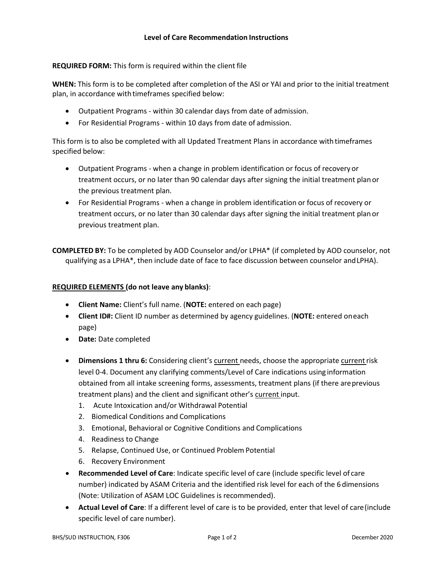## **REQUIRED FORM:** This form is required within the client file

**WHEN:** This form is to be completed after completion of the ASI or YAI and prior to the initial treatment plan, in accordance with timeframes specified below:

- Outpatient Programs within 30 calendar days from date of admission.
- For Residential Programs within 10 days from date of admission.

This form is to also be completed with all Updated Treatment Plans in accordance withtimeframes specified below:

- Outpatient Programs when a change in problem identification or focus of recovery or treatment occurs, or no later than 90 calendar days after signing the initial treatment plan or the previous treatment plan.
- For Residential Programs when a change in problem identification or focus of recovery or treatment occurs, or no later than 30 calendar days after signing the initial treatment plan or previous treatment plan.

**COMPLETED BY:** To be completed by AOD Counselor and/or LPHA\* (if completed by AOD counselor, not qualifying as a LPHA\*, then include date of face to face discussion between counselor andLPHA).

## **REQUIRED ELEMENTS (do not leave any blanks)**:

- **Client Name:** Client's full name. (**NOTE:** entered on each page)
- **Client ID#:** Client ID number as determined by agency guidelines. (**NOTE:** entered oneach page)
- **Date:** Date completed
- **Dimensions 1 thru 6:** Considering client's current needs, choose the appropriate currentrisk level 0-4. Document any clarifying comments/Level of Care indications using information obtained from all intake screening forms, assessments, treatment plans (if there areprevious treatment plans) and the client and significant other's current input.
	- 1. Acute Intoxication and/or Withdrawal Potential
	- 2. Biomedical Conditions and Complications
	- 3. Emotional, Behavioral or Cognitive Conditions and Complications
	- 4. Readiness to Change
	- 5. Relapse, Continued Use, or Continued Problem Potential
	- 6. Recovery Environment
- **Recommended Level of Care**: Indicate specific level of care (include specific level of care number) indicated by ASAM Criteria and the identified risk level for each of the 6 dimensions (Note: Utilization of ASAM LOC Guidelines is recommended).
- **Actual Level of Care**: If a different level of care is to be provided, enter that level of care(include specific level of care number).